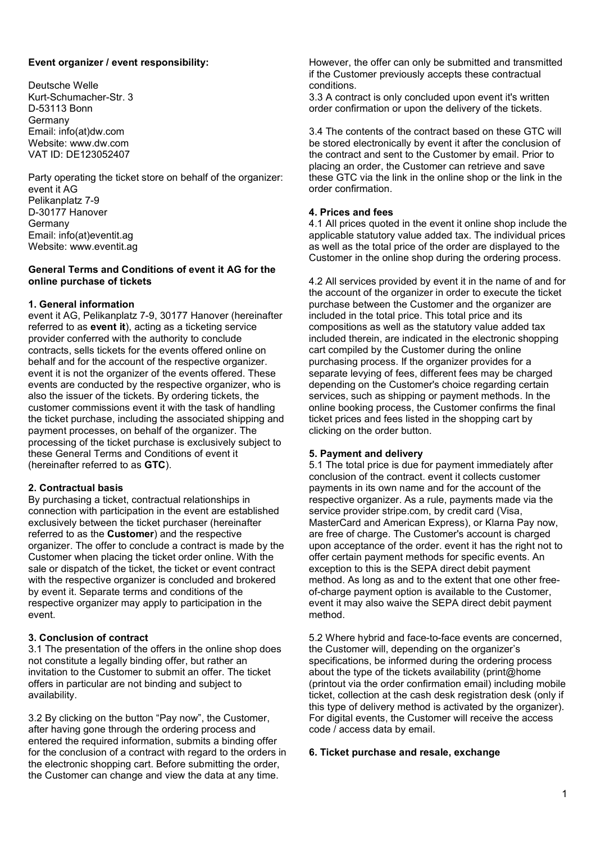### **Event organizer / event responsibility:**

Deutsche Welle Kurt-Schumacher-Str. 3 D-53113 Bonn Germany Email: info(at)dw.com Website: www.dw.com VAT ID: DE123052407

Party operating the ticket store on behalf of the organizer: event it AG Pelikanplatz 7-9 D-30177 Hanover Germany Email: info(at)eventit.ag Website: www.eventit.ag

### **General Terms and Conditions of event it AG for the online purchase of tickets**

#### **1. General information**

event it AG, Pelikanplatz 7-9, 30177 Hanover (hereinafter referred to as **event it**), acting as a ticketing service provider conferred with the authority to conclude contracts, sells tickets for the events offered online on behalf and for the account of the respective organizer. event it is not the organizer of the events offered. These events are conducted by the respective organizer, who is also the issuer of the tickets. By ordering tickets, the customer commissions event it with the task of handling the ticket purchase, including the associated shipping and payment processes, on behalf of the organizer. The processing of the ticket purchase is exclusively subject to these General Terms and Conditions of event it (hereinafter referred to as **GTC**).

#### **2. Contractual basis**

By purchasing a ticket, contractual relationships in connection with participation in the event are established exclusively between the ticket purchaser (hereinafter referred to as the **Customer**) and the respective organizer. The offer to conclude a contract is made by the Customer when placing the ticket order online. With the sale or dispatch of the ticket, the ticket or event contract with the respective organizer is concluded and brokered by event it. Separate terms and conditions of the respective organizer may apply to participation in the event.

#### **3. Conclusion of contract**

3.1 The presentation of the offers in the online shop does not constitute a legally binding offer, but rather an invitation to the Customer to submit an offer. The ticket offers in particular are not binding and subject to availability.

3.2 By clicking on the button "Pay now", the Customer, after having gone through the ordering process and entered the required information, submits a binding offer for the conclusion of a contract with regard to the orders in the electronic shopping cart. Before submitting the order, the Customer can change and view the data at any time.

However, the offer can only be submitted and transmitted if the Customer previously accepts these contractual conditions.

3.3 A contract is only concluded upon event it's written order confirmation or upon the delivery of the tickets.

3.4 The contents of the contract based on these GTC will be stored electronically by event it after the conclusion of the contract and sent to the Customer by email. Prior to placing an order, the Customer can retrieve and save these GTC via the link in the online shop or the link in the order confirmation.

### **4. Prices and fees**

4.1 All prices quoted in the event it online shop include the applicable statutory value added tax. The individual prices as well as the total price of the order are displayed to the Customer in the online shop during the ordering process.

4.2 All services provided by event it in the name of and for the account of the organizer in order to execute the ticket purchase between the Customer and the organizer are included in the total price. This total price and its compositions as well as the statutory value added tax included therein, are indicated in the electronic shopping cart compiled by the Customer during the online purchasing process. If the organizer provides for a separate levying of fees, different fees may be charged depending on the Customer's choice regarding certain services, such as shipping or payment methods. In the online booking process, the Customer confirms the final ticket prices and fees listed in the shopping cart by clicking on the order button.

### **5. Payment and delivery**

5.1 The total price is due for payment immediately after conclusion of the contract. event it collects customer payments in its own name and for the account of the respective organizer. As a rule, payments made via the service provider stripe.com, by credit card (Visa, MasterCard and American Express), or Klarna Pay now, are free of charge. The Customer's account is charged upon acceptance of the order. event it has the right not to offer certain payment methods for specific events. An exception to this is the SEPA direct debit payment method. As long as and to the extent that one other freeof-charge payment option is available to the Customer, event it may also waive the SEPA direct debit payment method.

5.2 Where hybrid and face-to-face events are concerned, the Customer will, depending on the organizer's specifications, be informed during the ordering process about the type of the tickets availability (print@home (printout via the order confirmation email) including mobile ticket, collection at the cash desk registration desk (only if this type of delivery method is activated by the organizer). For digital events, the Customer will receive the access code / access data by email.

#### **6. Ticket purchase and resale, exchange**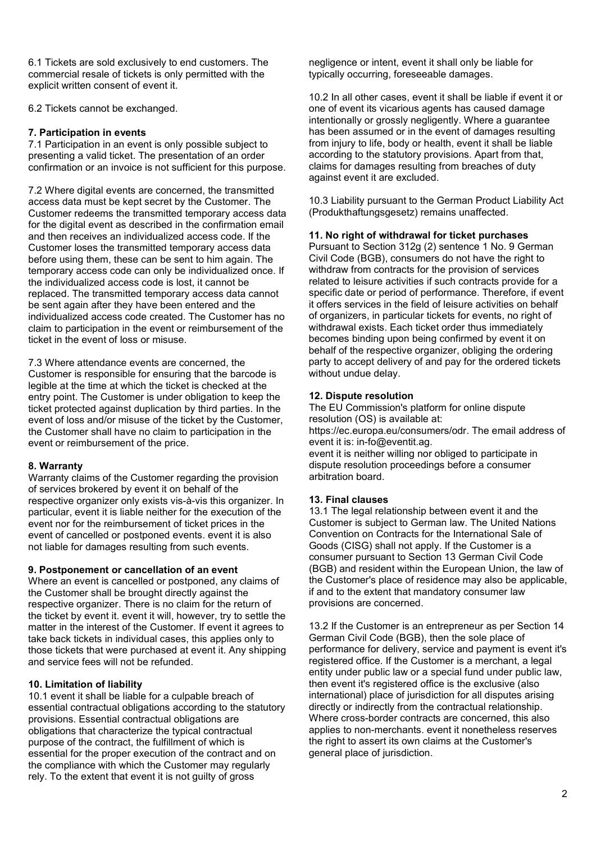6.1 Tickets are sold exclusively to end customers. The commercial resale of tickets is only permitted with the explicit written consent of event it.

6.2 Tickets cannot be exchanged.

# **7. Participation in events**

7.1 Participation in an event is only possible subject to presenting a valid ticket. The presentation of an order confirmation or an invoice is not sufficient for this purpose.

7.2 Where digital events are concerned, the transmitted access data must be kept secret by the Customer. The Customer redeems the transmitted temporary access data for the digital event as described in the confirmation email and then receives an individualized access code. If the Customer loses the transmitted temporary access data before using them, these can be sent to him again. The temporary access code can only be individualized once. If the individualized access code is lost, it cannot be replaced. The transmitted temporary access data cannot be sent again after they have been entered and the individualized access code created. The Customer has no claim to participation in the event or reimbursement of the ticket in the event of loss or misuse.

7.3 Where attendance events are concerned, the Customer is responsible for ensuring that the barcode is legible at the time at which the ticket is checked at the entry point. The Customer is under obligation to keep the ticket protected against duplication by third parties. In the event of loss and/or misuse of the ticket by the Customer, the Customer shall have no claim to participation in the event or reimbursement of the price.

# **8. Warranty**

Warranty claims of the Customer regarding the provision of services brokered by event it on behalf of the respective organizer only exists vis-à-vis this organizer. In particular, event it is liable neither for the execution of the event nor for the reimbursement of ticket prices in the event of cancelled or postponed events. event it is also not liable for damages resulting from such events.

# **9. Postponement or cancellation of an event**

Where an event is cancelled or postponed, any claims of the Customer shall be brought directly against the respective organizer. There is no claim for the return of the ticket by event it. event it will, however, try to settle the matter in the interest of the Customer. If event it agrees to take back tickets in individual cases, this applies only to those tickets that were purchased at event it. Any shipping and service fees will not be refunded.

# **10. Limitation of liability**

10.1 event it shall be liable for a culpable breach of essential contractual obligations according to the statutory provisions. Essential contractual obligations are obligations that characterize the typical contractual purpose of the contract, the fulfillment of which is essential for the proper execution of the contract and on the compliance with which the Customer may regularly rely. To the extent that event it is not guilty of gross

negligence or intent, event it shall only be liable for typically occurring, foreseeable damages.

10.2 In all other cases, event it shall be liable if event it or one of event its vicarious agents has caused damage intentionally or grossly negligently. Where a guarantee has been assumed or in the event of damages resulting from injury to life, body or health, event it shall be liable according to the statutory provisions. Apart from that, claims for damages resulting from breaches of duty against event it are excluded.

10.3 Liability pursuant to the German Product Liability Act (Produkthaftungsgesetz) remains unaffected.

# **11. No right of withdrawal for ticket purchases**

Pursuant to Section 312g (2) sentence 1 No. 9 German Civil Code (BGB), consumers do not have the right to withdraw from contracts for the provision of services related to leisure activities if such contracts provide for a specific date or period of performance. Therefore, if event it offers services in the field of leisure activities on behalf of organizers, in particular tickets for events, no right of withdrawal exists. Each ticket order thus immediately becomes binding upon being confirmed by event it on behalf of the respective organizer, obliging the ordering party to accept delivery of and pay for the ordered tickets without undue delay.

# **12. Dispute resolution**

The EU Commission's platform for online dispute resolution (OS) is available at: https://ec.europa.eu/consumers/odr. The email address of event it is: in-fo@eventit.ag. event it is neither willing nor obliged to participate in dispute resolution proceedings before a consumer arbitration board.

# **13. Final clauses**

13.1 The legal relationship between event it and the Customer is subject to German law. The United Nations Convention on Contracts for the International Sale of Goods (CISG) shall not apply. If the Customer is a consumer pursuant to Section 13 German Civil Code (BGB) and resident within the European Union, the law of the Customer's place of residence may also be applicable, if and to the extent that mandatory consumer law provisions are concerned.

13.2 If the Customer is an entrepreneur as per Section 14 German Civil Code (BGB), then the sole place of performance for delivery, service and payment is event it's registered office. If the Customer is a merchant, a legal entity under public law or a special fund under public law, then event it's registered office is the exclusive (also international) place of jurisdiction for all disputes arising directly or indirectly from the contractual relationship. Where cross-border contracts are concerned, this also applies to non-merchants. event it nonetheless reserves the right to assert its own claims at the Customer's general place of jurisdiction.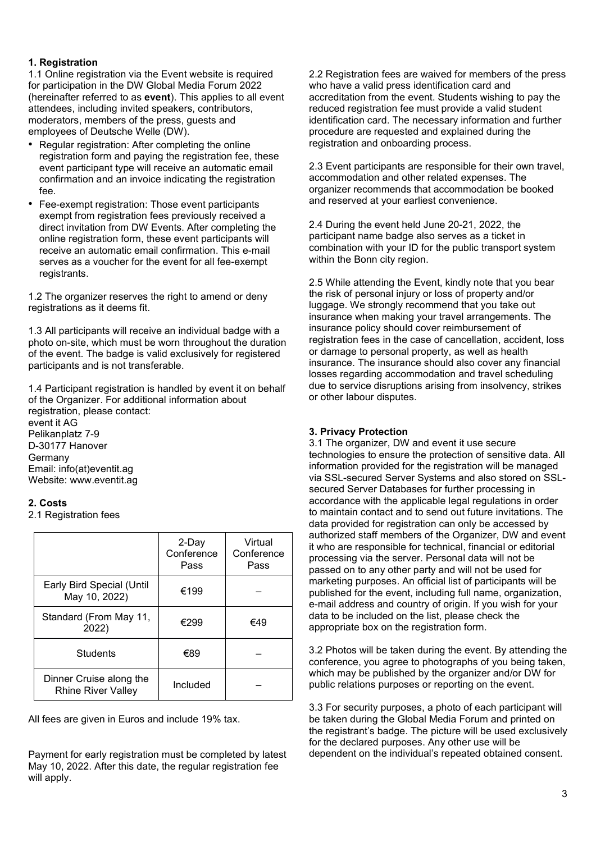# **1. Registration**

1.1 Online registration via the Event website is required for participation in the DW Global Media Forum 2022 (hereinafter referred to as **event**). This applies to all event attendees, including invited speakers, contributors, moderators, members of the press, guests and employees of Deutsche Welle (DW).

- Regular registration: After completing the online registration form and paying the registration fee, these event participant type will receive an automatic email confirmation and an invoice indicating the registration fee.
- Fee-exempt registration: Those event participants exempt from registration fees previously received a direct invitation from DW Events. After completing the online registration form, these event participants will receive an automatic email confirmation. This e-mail serves as a voucher for the event for all fee-exempt registrants.

1.2 The organizer reserves the right to amend or deny registrations as it deems fit.

1.3 All participants will receive an individual badge with a photo on-site, which must be worn throughout the duration of the event. The badge is valid exclusively for registered participants and is not transferable.

1.4 Participant registration is handled by event it on behalf of the Organizer. For additional information about registration, please contact: event it AG Pelikanplatz 7-9 D-30177 Hanover Germany Email: info(at)eventit.ag Website: www.eventit.ag

# **2. Costs**

2.1 Registration fees

|                                                      | 2-Day<br>Conference<br>Pass | Virtual<br>Conference<br>Pass |
|------------------------------------------------------|-----------------------------|-------------------------------|
| Early Bird Special (Until<br>May 10, 2022)           | €199                        |                               |
| Standard (From May 11,<br>2022)                      | €299                        | €49                           |
| <b>Students</b>                                      | €89                         |                               |
| Dinner Cruise along the<br><b>Rhine River Valley</b> | Included                    |                               |

All fees are given in Euros and include 19% tax.

Payment for early registration must be completed by latest May 10, 2022. After this date, the regular registration fee will apply.

2.2 Registration fees are waived for members of the press who have a valid press identification card and accreditation from the event. Students wishing to pay the reduced registration fee must provide a valid student identification card. The necessary information and further procedure are requested and explained during the registration and onboarding process.

2.3 Event participants are responsible for their own travel, accommodation and other related expenses. The organizer recommends that accommodation be booked and reserved at your earliest convenience.

2.4 During the event held June 20-21, 2022, the participant name badge also serves as a ticket in combination with your ID for the public transport system within the Bonn city region.

2.5 While attending the Event, kindly note that you bear the risk of personal injury or loss of property and/or luggage. We strongly recommend that you take out insurance when making your travel arrangements. The insurance policy should cover reimbursement of registration fees in the case of cancellation, accident, loss or damage to personal property, as well as health insurance. The insurance should also cover any financial losses regarding accommodation and travel scheduling due to service disruptions arising from insolvency, strikes or other labour disputes.

# **3. Privacy Protection**

3.1 The organizer, DW and event it use secure technologies to ensure the protection of sensitive data. All information provided for the registration will be managed via SSL-secured Server Systems and also stored on SSLsecured Server Databases for further processing in accordance with the applicable legal regulations in order to maintain contact and to send out future invitations. The data provided for registration can only be accessed by authorized staff members of the Organizer, DW and event it who are responsible for technical, financial or editorial processing via the server. Personal data will not be passed on to any other party and will not be used for marketing purposes. An official list of participants will be published for the event, including full name, organization, e-mail address and country of origin. If you wish for your data to be included on the list, please check the appropriate box on the registration form.

3.2 Photos will be taken during the event. By attending the conference, you agree to photographs of you being taken, which may be published by the organizer and/or DW for public relations purposes or reporting on the event.

3.3 For security purposes, a photo of each participant will be taken during the Global Media Forum and printed on the registrant's badge. The picture will be used exclusively for the declared purposes. Any other use will be dependent on the individual's repeated obtained consent.